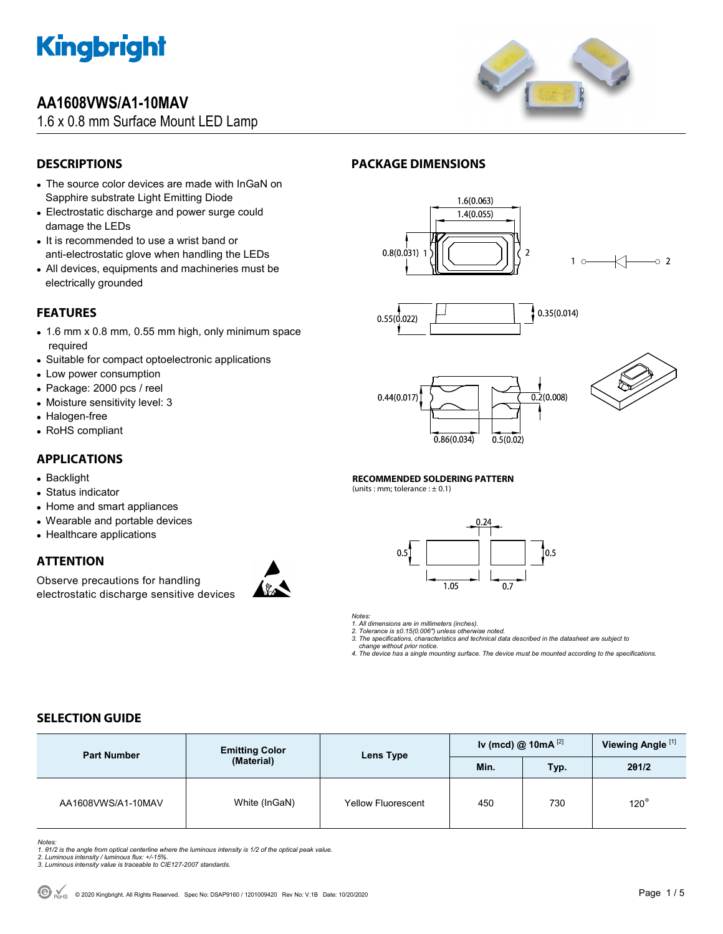

# **AA1608VWS/A1-10MAV**

1.6 x 0.8 mm Surface Mount LED Lamp



## **DESCRIPTIONS**

- The source color devices are made with InGaN on Sapphire substrate Light Emitting Diode
- Electrostatic discharge and power surge could damage the LEDs
- It is recommended to use a wrist band or anti-electrostatic glove when handling the LEDs
- All devices, equipments and machineries must be electrically grounded

## **FEATURES**

- 1.6 mm x 0.8 mm, 0.55 mm high, only minimum space required
- Suitable for compact optoelectronic applications
- Low power consumption
- Package: 2000 pcs / reel
- Moisture sensitivity level: 3
- Halogen-free
- RoHS compliant

### **APPLICATIONS**

- Backlight
- Status indicator
- Home and smart appliances
- Wearable and portable devices
- Healthcare applications

### **ATTENTION**

Observe precautions for handling electrostatic discharge sensitive devices



## **PACKAGE DIMENSIONS**









 $\circ$  2

#### **RECOMMENDED SOLDERING PATTERN**

(units : mm; tolerance :  $\pm$  0.1)



*Notes:* 

*1. All dimensions are in millimeters (inches).* 

*2. Tolerance is ±0.15(0.006") unless otherwise noted. 3. The specifications, characteristics and technical data described in the datasheet are subject to* 

 *change without prior notice.* 

*4. The device has a single mounting surface. The device must be mounted according to the specifications.* 

## **SELECTION GUIDE**

| <b>Part Number</b> | <b>Emitting Color</b><br>(Material) | Lens Type                 | Iv (mcd) @ 10mA $^{[2]}$ |      | Viewing Angle <sup>[1]</sup> |
|--------------------|-------------------------------------|---------------------------|--------------------------|------|------------------------------|
|                    |                                     |                           | Min.                     | Typ. | 201/2                        |
| AA1608VWS/A1-10MAV | White (InGaN)                       | <b>Yellow Fluorescent</b> | 450                      | 730  | $120^\circ$                  |

Notes:<br>1. 81/2 is the angle from optical centerline where the luminous intensity is 1/2 of the optical peak value.<br>2. Luminous intensity / luminous flux: +/-15%.<br>3. Luminous intensity value is traceable to CIE127-2007 stan

- 
-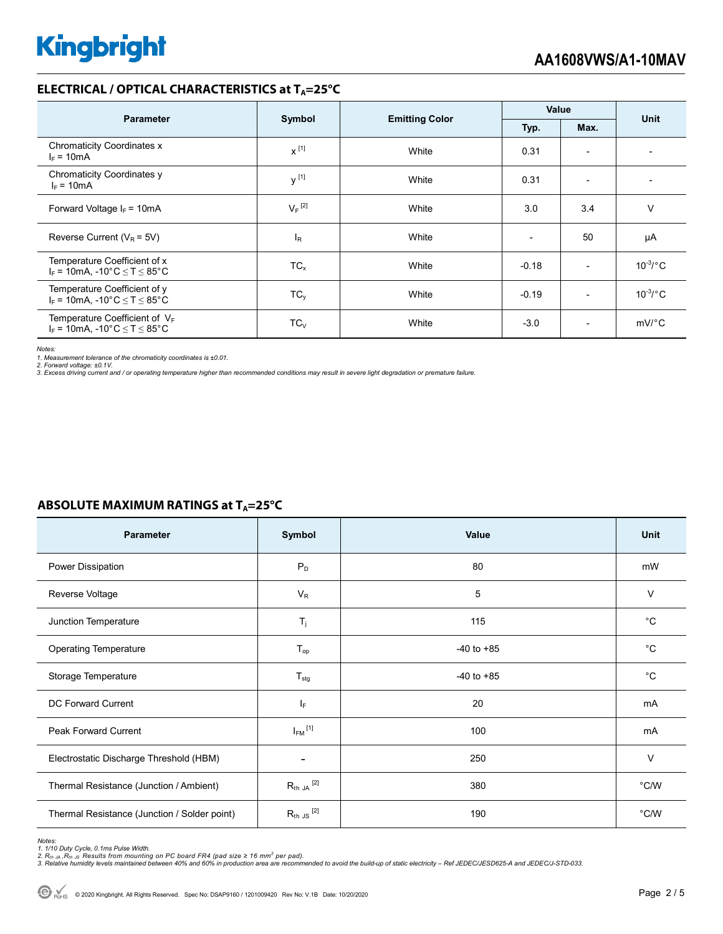#### **ELECTRICAL / OPTICAL CHARACTERISTICS at T<sub>A</sub>=25°C**

| <b>Parameter</b>                                                            | Symbol               | <b>Emitting Color</b> | Value   |                          | <b>Unit</b>   |  |
|-----------------------------------------------------------------------------|----------------------|-----------------------|---------|--------------------------|---------------|--|
|                                                                             |                      |                       | Typ.    | Max.                     |               |  |
| <b>Chromaticity Coordinates x</b><br>$I_F = 10mA$                           | $x^{[1]}$            | White                 | 0.31    | $\overline{\phantom{a}}$ |               |  |
| Chromaticity Coordinates y<br>$I_F = 10mA$                                  | $v^{[1]}$            | White                 | 0.31    | $\overline{\phantom{a}}$ |               |  |
| Forward Voltage $I_F$ = 10mA                                                | $V_F$ <sup>[2]</sup> | White                 | 3.0     | 3.4                      | v             |  |
| Reverse Current ( $V_R$ = 5V)                                               | l <sub>R</sub>       | White                 |         | 50                       | μA            |  |
| Temperature Coefficient of x<br>$I_F$ = 10mA, -10°C $\leq$ T $\leq$ 85°C    | $TC_{x}$             | White                 | $-0.18$ | $\overline{\phantom{0}}$ | $10^{-3}$ /°C |  |
| Temperature Coefficient of y<br>$I_F$ = 10mA, -10°C $\leq T \leq 85$ °C     | $TC_v$               | White                 | $-0.19$ | $\overline{\phantom{a}}$ | $10^{-3}$ /°C |  |
| Temperature Coefficient of $V_F$<br>$I_F$ = 10mA, -10°C $\leq T \leq 85$ °C | $TC_{V}$             | White                 | $-3.0$  | $\overline{\phantom{0}}$ | $mV$ °C       |  |

*Notes:* 

1. Measurement tolerance of the chromaticity coordinates is ±0.01.<br>2. Forward voltage: ±0.1V.<br>3. Excess driving current and / or operating temperature higher than recommended conditions may result in severe light degradati

### **ABSOLUTE MAXIMUM RATINGS at T<sub>A</sub>=25°C**

| Parameter                                    | Symbol                  | Value          | Unit        |
|----------------------------------------------|-------------------------|----------------|-------------|
| Power Dissipation                            | P <sub>D</sub>          | 80             | mW          |
| Reverse Voltage                              | $V_{R}$                 | 5              | $\vee$      |
| Junction Temperature                         | $\mathsf{T}_j$          | 115            | $^{\circ}C$ |
| <b>Operating Temperature</b>                 | $T_{op}$                | $-40$ to $+85$ | $^{\circ}C$ |
| Storage Temperature                          | $T_{\text{stg}}$        | $-40$ to $+85$ | $^{\circ}C$ |
| DC Forward Current                           | IF.                     | 20             | mA          |
| Peak Forward Current                         | $I_{FM}$ <sup>[1]</sup> | 100            | mA          |
| Electrostatic Discharge Threshold (HBM)      |                         | 250            | $\vee$      |
| Thermal Resistance (Junction / Ambient)      | $R_{th}$ ja $^{[2]}$    | 380            | °C/W        |
| Thermal Resistance (Junction / Solder point) | $R_{th}$ JS $^{[2]}$    | 190            | °C/W        |

Notes:<br>1. 1/10 Duty Cycle, 0.1ms Pulse Width.<br>2. R<sub>th JA</sub> ,R<sub>th JS</sub> Results from mounting on PC board FR4 (pad size ≥ 16 mm<sup>2</sup> per pad).<br>3. Relative humidity levels maintained between 40% and 60% in production area are re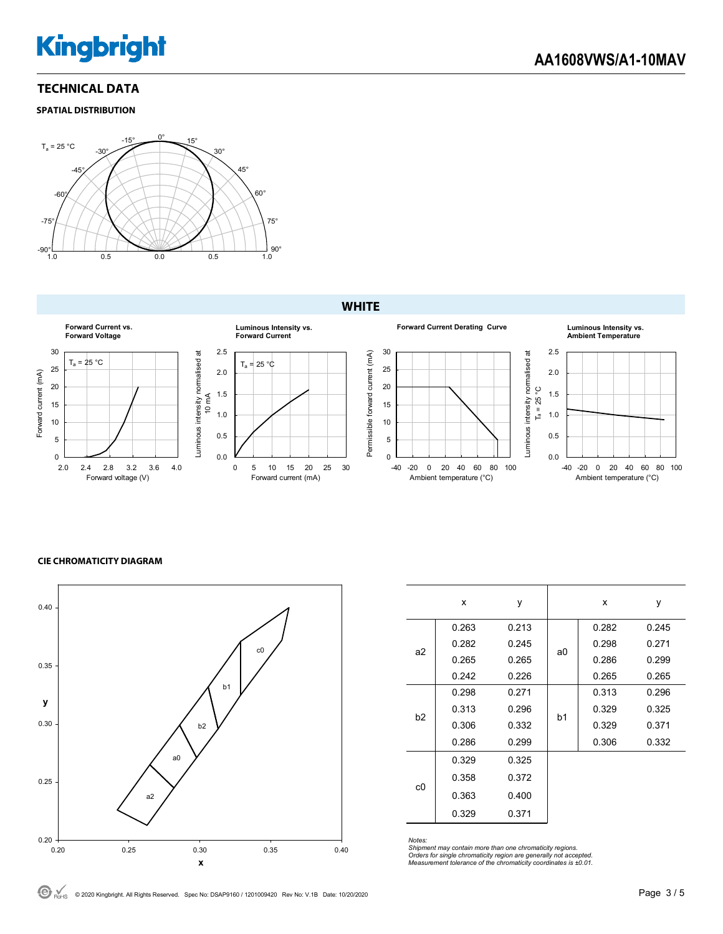# **Kingbright**

### **TECHNICAL DATA**

**SPATIAL DISTRIBUTION**



### **WHITE**











#### **CIE CHROMATICITY DIAGRAM**



|    | x     | У     |                | x     | у     |
|----|-------|-------|----------------|-------|-------|
| a2 | 0.263 | 0.213 | a0             | 0.282 | 0.245 |
|    | 0.282 | 0.245 |                | 0.298 | 0.271 |
|    | 0.265 | 0.265 |                | 0.286 | 0.299 |
|    | 0.242 | 0.226 |                | 0.265 | 0.265 |
|    | 0.298 | 0.271 | b <sub>1</sub> | 0.313 | 0.296 |
| b2 | 0.313 | 0.296 |                | 0.329 | 0.325 |
|    | 0.306 | 0.332 |                | 0.329 | 0.371 |
|    | 0.286 | 0.299 |                | 0.306 | 0.332 |
|    | 0.329 | 0.325 |                |       |       |
| c0 | 0.358 | 0.372 |                |       |       |
|    | 0.363 | 0.400 |                |       |       |
|    | 0.329 | 0.371 |                |       |       |

*Notes: Shipment may contain more than one chromaticity regions. Orders for single chromaticity region are generally not accepted. Measurement tolerance of the chromaticity coordinates is ±0.01.*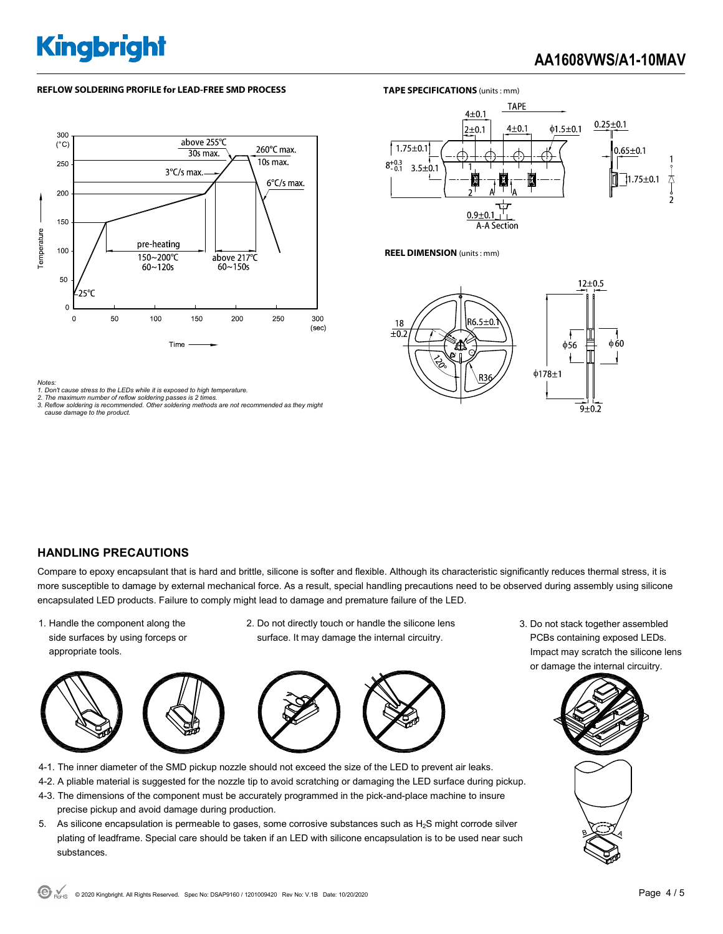# **Kingbright**

# **AA1608VWS/A1-10MAV**

#### **REFLOW SOLDERING PROFILE for LEAD-FREE SMD PROCESS <b>TAPE SPECIFICATIONS** (units: mm)





**REEL DIMENSION** (units : mm)



*Notes:* 

- *1. Don't cause stress to the LEDs while it is exposed to high temperature.*
- *2. The maximum number of reflow soldering passes is 2 times. 3. Reflow soldering is recommended. Other soldering methods are not recommended as they might cause damage to the product.*

#### **HANDLING PRECAUTIONS**

Compare to epoxy encapsulant that is hard and brittle, silicone is softer and flexible. Although its characteristic significantly reduces thermal stress, it is more susceptible to damage by external mechanical force. As a result, special handling precautions need to be observed during assembly using silicone encapsulated LED products. Failure to comply might lead to damage and premature failure of the LED.

- 1. Handle the component along the side surfaces by using forceps or appropriate tools.
- 2. Do not directly touch or handle the silicone lens surface. It may damage the internal circuitry.



- 4-1. The inner diameter of the SMD pickup nozzle should not exceed the size of the LED to prevent air leaks.
- 4-2. A pliable material is suggested for the nozzle tip to avoid scratching or damaging the LED surface during pickup.
- 4-3. The dimensions of the component must be accurately programmed in the pick-and-place machine to insure precise pickup and avoid damage during production.
- 5. As silicone encapsulation is permeable to gases, some corrosive substances such as  $H_2S$  might corrode silver plating of leadframe. Special care should be taken if an LED with silicone encapsulation is to be used near such substances.

3. Do not stack together assembled PCBs containing exposed LEDs. Impact may scratch the silicone lens or damage the internal circuitry.